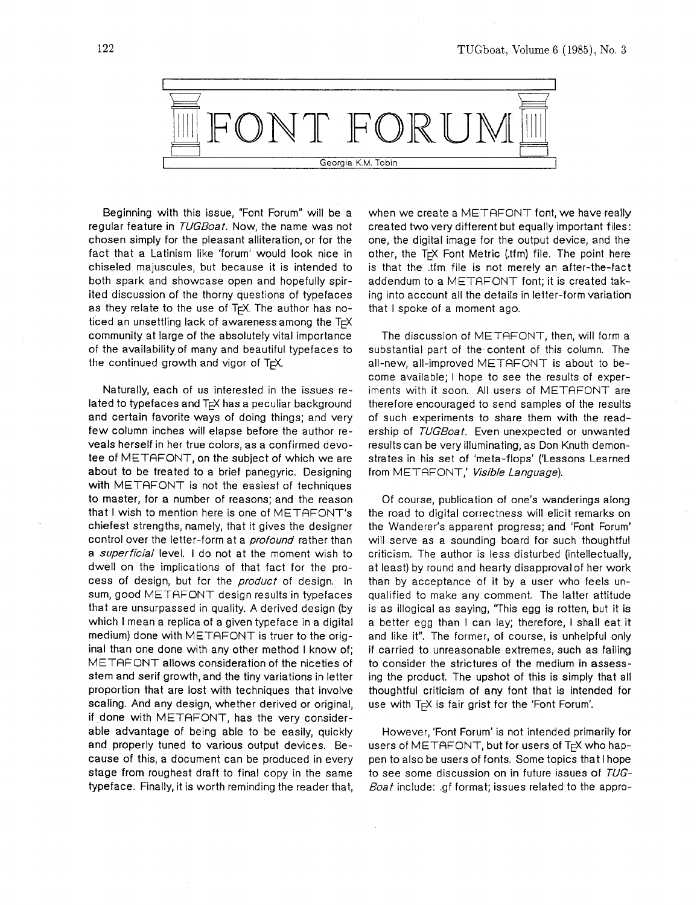

Beginning with this issue, "Font Forum" will be a regular feature in TUGBoat. Now, the name was not chosen simply for the pleasant alliteration, or for the fact that a Latinism like 'forum' would look nice in chiseled majuscules, but because it is intended to both spark and showcase open and hopefully spirited discussion of the thorny questions of typefaces as they relate to the use of T<sub>F</sub>X. The author has noticed an unsettling lack of awareness among the  $T \rvert X$ community at large of the absolutely vital importance of the availability of many and beautiful typefaces to the continued growth and vigor of  $T_F X$ .

Naturally, each of us interested in the issues related to typefaces and T<sub>F</sub>X has a peculiar background and certain favorite ways of doing things; and very few column inches will elapse before the author reveals herself in her true colors, as a confirmed devotee of METAFONT, on the subject of which we are about to be treated to a brief panegyric. Designing with METAFONT is not the easiest of techniques to master, for a number of reasons; and the reason that I wish to mention here is one of METAFONT's chiefest strengths, namely, that it gives the designer control over the letter-form at a *profound* rather than a *superficial* level. I do not at the moment wish to dwell on the implications of that fact for the process of design, but for the *product* of design. In sum, good METAFONT design results in typefaces that are unsurpassed in quality. **A** derived design (by which I mean a replica of a given typeface in a digital medium) done with METAFONT is truer to the original than one done with any other method I know of; METAFONT allows consideration of the niceties of stem and serif growth, and the tiny variations in letter proportion that are lost with techniques that involve scaling. And any design, whether derived or original, if done with METAFONT, has the very considerable advantage of being able to be easily, quickly and properly tuned to various output devices. Because of this, a document can be produced in every stage from roughest draft to final copy in the same typeface. Finally, it is worth reminding the reader that,

when we create a METAFONT font, we have really created two very different but equally important files: one, the digital image for the output device, and the other, the  $T \in X$  Font Metric (the file. The point here is that the .tfm file is not merely an after-the-fact addendum to a METRFONT font; it is created taking into account all the details in letter-form variation that I spoke of a moment ago.

The discussion of METAFONT, then, will form a substantial part of the content of this column. The all-new, all-improved METAFONT is about to become available; I hope to see the results of experiments with it soon. All users of METRFONT are therefore encouraged to send samples of the results of such experiments to share them with the readership of TUGBoat. Even unexpected or unwanted results can be very illuminating, as Don Knuth demonstrates in his set of 'meta-flops' ('Lessons Learned from METAFONT,' Visible Language).

Of course, publication of one's wanderings along the road to digital correctness will elicit remarks on the Wanderer's apparent progress; and 'Font Forum' will serve as a sounding board for such thoughtful criticism. The author is less disturbed (intellectually, at least) by round and hearty disapproval of her work than by acceptance of it by a user who feels unqualified to make any comment. The latter attitude is as illogical as saying, 'This egg is rotten, but it is a better egg than I can lay; therefore, I shall eat it and like it". The former, of course, is unhelpful only if carried to unreasonable extremes, such as failing to consider the strictures of the medium in assessing the product. The upshot of this is simply that all thoughtful criticism of any font that is intended for use with T<sub>F</sub>X is fair grist for the 'Font Forum'.

However, 'Font Forum' is not intended primarily for users of METAFONT, but for users of T<sub>F</sub>X who happen to also be users of fonts. Some topics that I hope to see some discussion on in future issues of TUG-Boat include: .gf format; issues related to the appro-